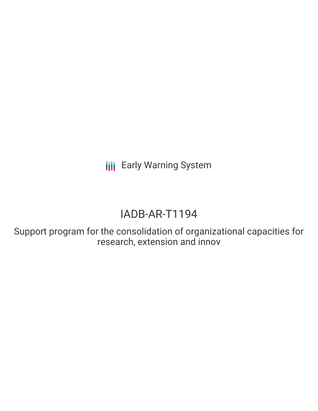**III** Early Warning System

# IADB-AR-T1194

Support program for the consolidation of organizational capacities for research, extension and innov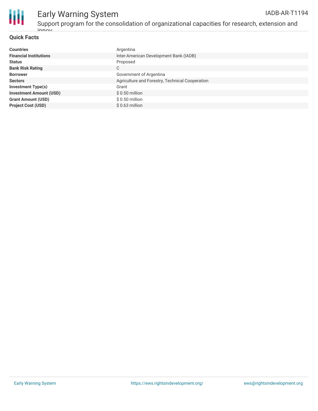

#### **Quick Facts**

| <b>Countries</b>               | Argentina                                       |
|--------------------------------|-------------------------------------------------|
| <b>Financial Institutions</b>  | Inter-American Development Bank (IADB)          |
| <b>Status</b>                  | Proposed                                        |
| <b>Bank Risk Rating</b>        | C                                               |
| <b>Borrower</b>                | Government of Argentina                         |
| <b>Sectors</b>                 | Agriculture and Forestry, Technical Cooperation |
| <b>Investment Type(s)</b>      | Grant                                           |
| <b>Investment Amount (USD)</b> | $$0.50$ million                                 |
| <b>Grant Amount (USD)</b>      | $$0.50$ million                                 |
| <b>Project Cost (USD)</b>      | $$0.63$ million                                 |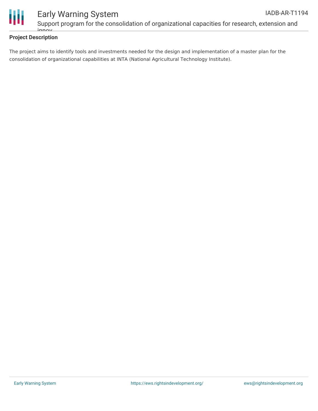

### **Project Description**

The project aims to identify tools and investments needed for the design and implementation of a master plan for the consolidation of organizational capabilities at INTA (National Agricultural Technology Institute).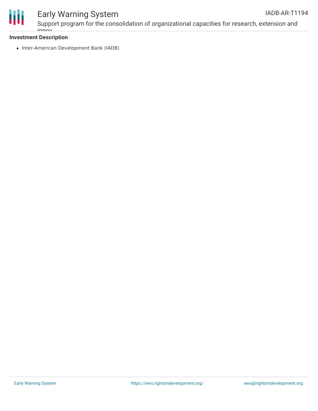

# Early Warning System

### **Investment Description**

innov

• Inter-American Development Bank (IADB)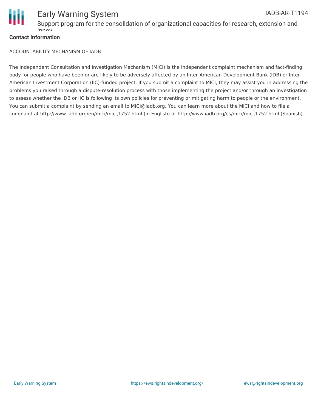

#### **Contact Information**

innov

ACCOUNTABILITY MECHANISM OF IADB

The Independent Consultation and Investigation Mechanism (MICI) is the independent complaint mechanism and fact-finding body for people who have been or are likely to be adversely affected by an Inter-American Development Bank (IDB) or Inter-American Investment Corporation (IIC)-funded project. If you submit a complaint to MICI, they may assist you in addressing the problems you raised through a dispute-resolution process with those implementing the project and/or through an investigation to assess whether the IDB or IIC is following its own policies for preventing or mitigating harm to people or the environment. You can submit a complaint by sending an email to MICI@iadb.org. You can learn more about the MICI and how to file a complaint at http://www.iadb.org/en/mici/mici,1752.html (in English) or http://www.iadb.org/es/mici/mici,1752.html (Spanish).